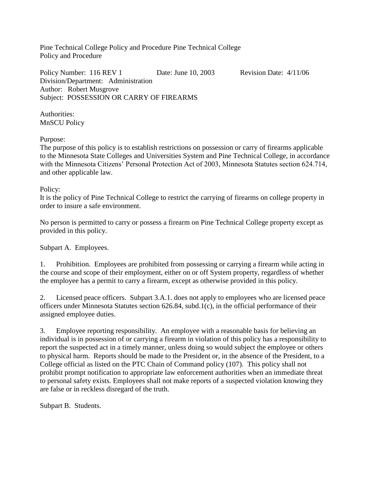Pine Technical College Policy and Procedure Pine Technical College Policy and Procedure

Policy Number: 116 REV 1 Date: June 10, 2003 Revision Date:  $4/11/06$ Division/Department: Administration Author: Robert Musgrove Subject: POSSESSION OR CARRY OF FIREARMS

Authorities: MnSCU Policy

Purpose:

The purpose of this policy is to establish restrictions on possession or carry of firearms applicable to the Minnesota State Colleges and Universities System and Pine Technical College, in accordance with the Minnesota Citizens' Personal Protection Act of 2003, Minnesota Statutes section 624.714, and other applicable law.

## Policy:

It is the policy of Pine Technical College to restrict the carrying of firearms on college property in order to insure a safe environment.

No person is permitted to carry or possess a firearm on Pine Technical College property except as provided in this policy.

Subpart A. Employees.

1. Prohibition. Employees are prohibited from possessing or carrying a firearm while acting in the course and scope of their employment, either on or off System property, regardless of whether the employee has a permit to carry a firearm, except as otherwise provided in this policy.

2. Licensed peace officers. Subpart 3.A.1. does not apply to employees who are licensed peace officers under Minnesota Statutes section 626.84, subd.1(c), in the official performance of their assigned employee duties.

3. Employee reporting responsibility. An employee with a reasonable basis for believing an individual is in possession of or carrying a firearm in violation of this policy has a responsibility to report the suspected act in a timely manner, unless doing so would subject the employee or others to physical harm. Reports should be made to the President or, in the absence of the President, to a College official as listed on the PTC Chain of Command policy (107). This policy shall not prohibit prompt notification to appropriate law enforcement authorities when an immediate threat to personal safety exists. Employees shall not make reports of a suspected violation knowing they are false or in reckless disregard of the truth.

Subpart B. Students.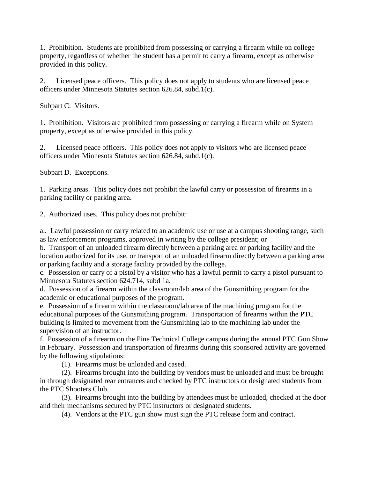1. Prohibition. Students are prohibited from possessing or carrying a firearm while on college property, regardless of whether the student has a permit to carry a firearm, except as otherwise provided in this policy.

2. Licensed peace officers. This policy does not apply to students who are licensed peace officers under Minnesota Statutes section 626.84, subd.1(c).

Subpart C. Visitors.

1. Prohibition. Visitors are prohibited from possessing or carrying a firearm while on System property, except as otherwise provided in this policy.

2. Licensed peace officers. This policy does not apply to visitors who are licensed peace officers under Minnesota Statutes section 626.84, subd.1(c).

Subpart D. Exceptions.

1. Parking areas. This policy does not prohibit the lawful carry or possession of firearms in a parking facility or parking area.

2. Authorized uses. This policy does not prohibit:

a.. Lawful possession or carry related to an academic use or use at a campus shooting range, such as law enforcement programs, approved in writing by the college president; or

b. Transport of an unloaded firearm directly between a parking area or parking facility and the location authorized for its use, or transport of an unloaded firearm directly between a parking area or parking facility and a storage facility provided by the college.

c. Possession or carry of a pistol by a visitor who has a lawful permit to carry a pistol pursuant to Minnesota Statutes section 624.714, subd 1a.

d. Possession of a firearm within the classroom/lab area of the Gunsmithing program for the academic or educational purposes of the program.

e. Possession of a firearm within the classroom/lab area of the machining program for the educational purposes of the Gunsmithing program. Transportation of firearms within the PTC building is limited to movement from the Gunsmithing lab to the machining lab under the supervision of an instructor.

f. Possession of a firearm on the Pine Technical College campus during the annual PTC Gun Show in February. Possession and transportation of firearms during this sponsored activity are governed by the following stipulations:

(1). Firearms must be unloaded and cased.

(2). Firearms brought into the building by vendors must be unloaded and must be brought in through designated rear entrances and checked by PTC instructors or designated students from the PTC Shooters Club.

(3). Firearms brought into the building by attendees must be unloaded, checked at the door and their mechanisms secured by PTC instructors or designated students.

(4). Vendors at the PTC gun show must sign the PTC release form and contract.